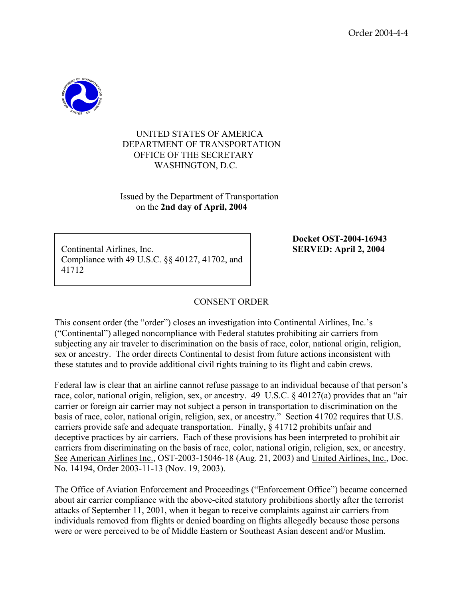

## UNITED STATES OF AMERICA DEPARTMENT OF TRANSPORTATION OFFICE OF THE SECRETARY WASHINGTON, D.C.

 Issued by the Department of Transportation on the **2nd day of April, 2004**

Continental Airlines, Inc. **SERVED: April 2, 2004**  Compliance with 49 U.S.C. §§ 40127, 41702, and 41712

**Docket OST-2004-16943** 

## CONSENT ORDER

This consent order (the "order") closes an investigation into Continental Airlines, Inc.'s ("Continental") alleged noncompliance with Federal statutes prohibiting air carriers from subjecting any air traveler to discrimination on the basis of race, color, national origin, religion, sex or ancestry. The order directs Continental to desist from future actions inconsistent with these statutes and to provide additional civil rights training to its flight and cabin crews.

Federal law is clear that an airline cannot refuse passage to an individual because of that person's race, color, national origin, religion, sex, or ancestry. 49 U.S.C. § 40127(a) provides that an "air carrier or foreign air carrier may not subject a person in transportation to discrimination on the basis of race, color, national origin, religion, sex, or ancestry." Section 41702 requires that U.S. carriers provide safe and adequate transportation. Finally, § 41712 prohibits unfair and deceptive practices by air carriers. Each of these provisions has been interpreted to prohibit air carriers from discriminating on the basis of race, color, national origin, religion, sex, or ancestry. See American Airlines Inc., OST-2003-15046-18 (Aug. 21, 2003) and United Airlines, Inc., Doc. No. 14194, Order 2003-11-13 (Nov. 19, 2003).

The Office of Aviation Enforcement and Proceedings ("Enforcement Office") became concerned about air carrier compliance with the above-cited statutory prohibitions shortly after the terrorist attacks of September 11, 2001, when it began to receive complaints against air carriers from individuals removed from flights or denied boarding on flights allegedly because those persons were or were perceived to be of Middle Eastern or Southeast Asian descent and/or Muslim.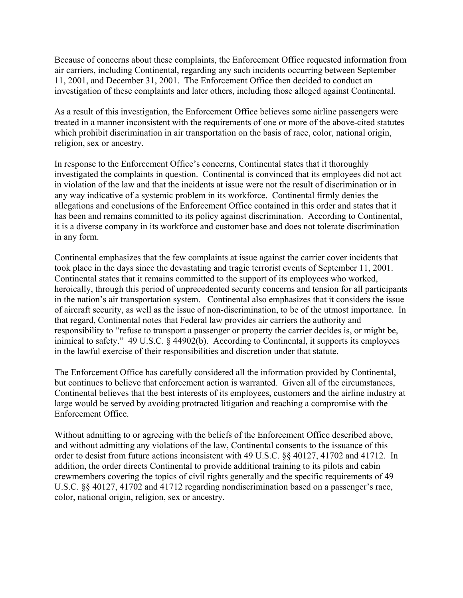Because of concerns about these complaints, the Enforcement Office requested information from air carriers, including Continental, regarding any such incidents occurring between September 11, 2001, and December 31, 2001. The Enforcement Office then decided to conduct an investigation of these complaints and later others, including those alleged against Continental.

As a result of this investigation, the Enforcement Office believes some airline passengers were treated in a manner inconsistent with the requirements of one or more of the above-cited statutes which prohibit discrimination in air transportation on the basis of race, color, national origin, religion, sex or ancestry.

In response to the Enforcement Office's concerns, Continental states that it thoroughly investigated the complaints in question. Continental is convinced that its employees did not act in violation of the law and that the incidents at issue were not the result of discrimination or in any way indicative of a systemic problem in its workforce. Continental firmly denies the allegations and conclusions of the Enforcement Office contained in this order and states that it has been and remains committed to its policy against discrimination. According to Continental, it is a diverse company in its workforce and customer base and does not tolerate discrimination in any form.

Continental emphasizes that the few complaints at issue against the carrier cover incidents that took place in the days since the devastating and tragic terrorist events of September 11, 2001. Continental states that it remains committed to the support of its employees who worked, heroically, through this period of unprecedented security concerns and tension for all participants in the nation's air transportation system. Continental also emphasizes that it considers the issue of aircraft security, as well as the issue of non-discrimination, to be of the utmost importance. In that regard, Continental notes that Federal law provides air carriers the authority and responsibility to "refuse to transport a passenger or property the carrier decides is, or might be, inimical to safety." 49 U.S.C. § 44902(b). According to Continental, it supports its employees in the lawful exercise of their responsibilities and discretion under that statute.

The Enforcement Office has carefully considered all the information provided by Continental, but continues to believe that enforcement action is warranted. Given all of the circumstances, Continental believes that the best interests of its employees, customers and the airline industry at large would be served by avoiding protracted litigation and reaching a compromise with the Enforcement Office.

Without admitting to or agreeing with the beliefs of the Enforcement Office described above, and without admitting any violations of the law, Continental consents to the issuance of this order to desist from future actions inconsistent with 49 U.S.C. §§ 40127, 41702 and 41712. In addition, the order directs Continental to provide additional training to its pilots and cabin crewmembers covering the topics of civil rights generally and the specific requirements of 49 U.S.C. §§ 40127, 41702 and 41712 regarding nondiscrimination based on a passenger's race, color, national origin, religion, sex or ancestry.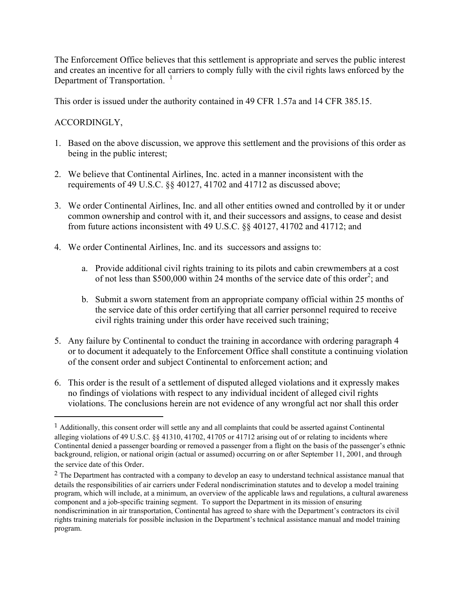The Enforcement Office believes that this settlement is appropriate and serves the public interest and creates an incentive for all carriers to comply fully with the civil rights laws enforced by the Department of Transportation.<sup>1</sup>

This order is issued under the authority contained in 49 CFR 1.57a and 14 CFR 385.15.

## ACCORDINGLY,

 $\overline{a}$ 

- 1. Based on the above discussion, we approve this settlement and the provisions of this order as being in the public interest;
- 2. We believe that Continental Airlines, Inc. acted in a manner inconsistent with the requirements of 49 U.S.C. §§ 40127, 41702 and 41712 as discussed above;
- 3. We order Continental Airlines, Inc. and all other entities owned and controlled by it or under common ownership and control with it, and their successors and assigns, to cease and desist from future actions inconsistent with 49 U.S.C. §§ 40127, 41702 and 41712; and
- 4. We order Continental Airlines, Inc. and its successors and assigns to:
	- a. Provide additional civil rights training to its pilots and cabin crewmembers at a cost of not less than \$500,000 within 24 months of the service date of this order<sup>2</sup>; and
	- b. Submit a sworn statement from an appropriate company official within 25 months of the service date of this order certifying that all carrier personnel required to receive civil rights training under this order have received such training;
- 5. Any failure by Continental to conduct the training in accordance with ordering paragraph 4 or to document it adequately to the Enforcement Office shall constitute a continuing violation of the consent order and subject Continental to enforcement action; and
- 6. This order is the result of a settlement of disputed alleged violations and it expressly makes no findings of violations with respect to any individual incident of alleged civil rights violations. The conclusions herein are not evidence of any wrongful act nor shall this order

<sup>1</sup> Additionally, this consent order will settle any and all complaints that could be asserted against Continental alleging violations of 49 U.S.C. §§ 41310, 41702, 41705 or 41712 arising out of or relating to incidents where Continental denied a passenger boarding or removed a passenger from a flight on the basis of the passenger's ethnic background, religion, or national origin (actual or assumed) occurring on or after September 11, 2001, and through the service date of this Order.

<sup>&</sup>lt;sup>2</sup> The Department has contracted with a company to develop an easy to understand technical assistance manual that details the responsibilities of air carriers under Federal nondiscrimination statutes and to develop a model training program, which will include, at a minimum, an overview of the applicable laws and regulations, a cultural awareness component and a job-specific training segment. To support the Department in its mission of ensuring nondiscrimination in air transportation, Continental has agreed to share with the Department's contractors its civil rights training materials for possible inclusion in the Department's technical assistance manual and model training program.